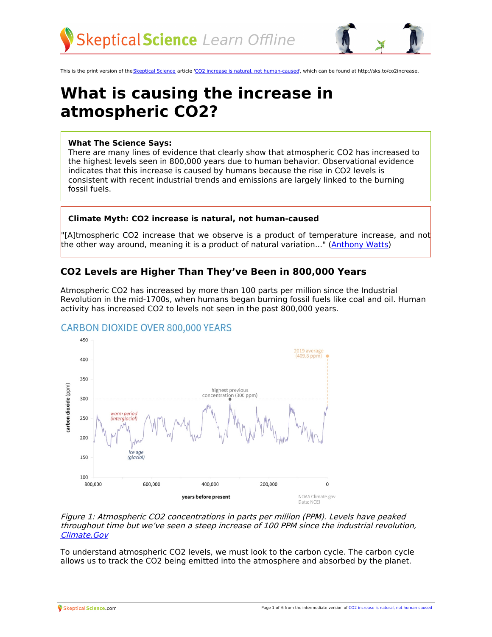



This is the print version of the [Skeptical](http://skepticalscience.com) Science article 'CO2 increase is natural, not [human-caused](http://skepticalscience.com/co2-increase-is-natural-not-human-caused.htm)', which can be found at http://sks.to/co2increase.

# **What is causing the increase in atmospheric CO2?**

#### **What The Science Says:**

There are many lines of evidence that clearly show that atmospheric CO2 has increased to the highest levels seen in 800,000 years due to human behavior. Observational evidence indicates that this increase is caused by humans because the rise in CO2 levels is consistent with recent industrial trends and emissions are largely linked to the burning fossil fuels.

#### **Climate Myth: CO2 increase is natural, not human-caused**

'[A]tmospheric CO2 increase that we observe is a product of temperature increase, and not the other way around, meaning it is a product of natural variation..." [\(Anthony](http://wattsupwiththat.com/2011/08/05/the-emily-litella-moment-for-climate-science-and-co2/) Watts)

# **CO2 Levels are Higher Than They've Been in 800,000 Years**

Atmospheric CO2 has increased by more than 100 parts per million since the Industrial Revolution in the mid-1700s, when humans began burning fossil fuels like coal and oil. Human activity has increased CO2 to levels not seen in the past 800,000 years.



## **CARBON DIOXIDE OVER 800,000 YEARS**

#### Figure 1: Atmospheric CO2 concentrations in parts per million (PPM). Levels have peaked throughout time but we've seen <sup>a</sup> steep increase of 100 PPM since the industrial revolution, [Climate.Gov](https://www.climate.gov/news-features/understanding-climate/climate-change-atmospheric-carbon-dioxide)

To understand atmospheric CO2 levels, we must look to the carbon cycle. The carbon cycle allows us to track the CO2 being emitted into the atmosphere and absorbed by the planet.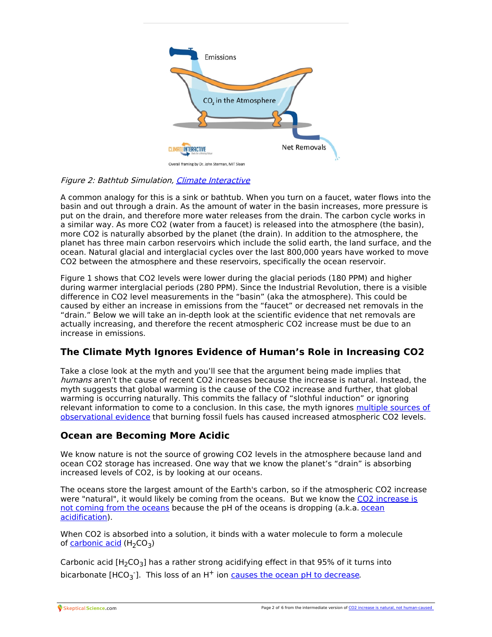

#### Figure 2: Bathtub Simulation, Climate [Interactive](https://www.climateinteractive.org/tools/climate-bathtub-simulation/)

A common analogy for this is a sink or bathtub. When you turn on a faucet, water flows into the basin and out through a drain. As the amount of water in the basin increases, more pressure is put on the drain, and therefore more water releases from the drain. The carbon cycle works in a similar way. As more CO2 (water from a faucet) is released into the atmosphere (the basin), more CO2 is naturally absorbed by the planet (the drain). In addition to the atmosphere, the planet has three main carbon reservoirs which include the solid earth, the land surface, and the ocean. Natural glacial and interglacial cycles over the last 800,000 years have worked to move CO2 between the atmosphere and these reservoirs, specifically the ocean reservoir.

Figure 1 shows that CO2 levels were lower during the glacial periods (180 PPM) and higher during warmer interglacial periods (280 PPM). Since the Industrial Revolution, there is a visible difference in CO2 level measurements in the "basin" (aka the atmosphere). This could be caused by either an increase in emissions from the "faucet" or decreased net removals in the "drain." Below we will take an in-depth look at the scientific evidence that net removals are actually increasing, and therefore the recent atmospheric CO2 increase must be due to an increase in emissions.

# **The Climate Myth Ignores Evidence of Human's Role in Increasing CO2**

Take a close look at the myth and you'll see that the argument being made implies that humans aren't the cause of recent CO2 increases because the increase is natural. Instead, the myth suggests that global warming is the cause of the CO2 increase and further, that global warming is occurring naturally. This commits the fallacy of "slothful induction" or ignoring relevant information to come to a conclusion. In this case, the myth ignores multiple sources of [observational](https://skepticalscience.com/its-not-us.htm) evidence that burning fossil fuels has caused increased atmospheric CO2 levels.

## **Ocean are Becoming More Acidic**

We know nature is not the source of growing CO2 levels in the atmosphere because land and ocean CO2 storage has increased. One way that we know the planet's "drain" is absorbing increased levels of CO2, is by looking at our oceans.

The oceans store the largest amount of the Earth's carbon, so if the atmospheric CO2 increase were ["natural",](https://skepticalscience.com/co2-coming-from-ocean.htm) it would likely be coming from the oceans. But we know the CO2 increase is not coming from the oceans because the pH of the oceans is dropping (a.k.a. ocean [acidification\).](https://skepticalscience.com/ocean-acidification-global-warming-intermediate.htm)

When CO2 is absorbed into a solution, it binds with a water molecule to form a molecule of [carbonic](https://www.noaa.gov/education/resource-collections/ocean-coasts/ocean-acidification) acid  $(H_2CO_3)$ 

Carbonic acid  $[H_2CO_3]$  has a rather strong acidifying effect in that 95% of it turns into bicarbonate [HCO<sub>3</sub>]. This loss of an  $H^+$  ion causes the ocean pH to [decrease](https://skepticalscience.com/Mackie_OA_not_OK_post_4.html).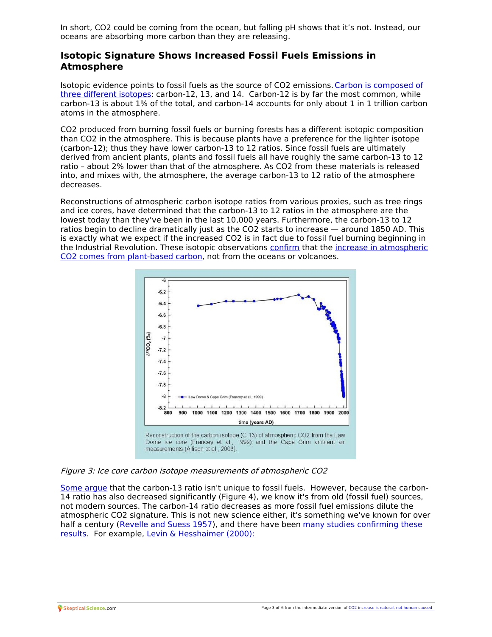In short, CO2 could be coming from the ocean, but falling pH shows that it's not. Instead, our oceans are absorbing more carbon than they are releasing.

## **Isotopic Signature Shows Increased Fossil Fuels Emissions in Atmosphere**

Isotopic evidence points to fossil fuels as the source of CO2 [emissions.Carbon](http://www.realclimate.org/index.php/archives/2004/12/how-do-we-know-that-recent-cosub2sub-increases-are-due-to-human-activities-updated/) is composed of three different isotopes: carbon-12, 13, and 14. Carbon-12 is by far the most common, while carbon-13 is about 1% of the total, and carbon-14 accounts for only about 1 in 1 trillion carbon atoms in the atmosphere.

CO2 produced from burning fossil fuels or burning forests has a different isotopic composition than CO2 in the atmosphere. This is because plants have a preference for the lighter isotope (carbon-12); thus they have lower carbon-13 to 12 ratios. Since fossil fuels are ultimately derived from ancient plants, plants and fossil fuels all have roughly the same carbon-13 to 12 ratio – about 2% lower than that of the atmosphere. As CO2 from these materials is released into, and mixes with, the atmosphere, the average carbon-13 to 12 ratio of the atmosphere decreases.

Reconstructions of atmospheric carbon isotope ratios from various proxies, such as tree rings and ice cores, have determined that the carbon-13 to 12 ratios in the atmosphere are the lowest today than they've been in the last 10,000 years. Furthermore, the carbon-13 to 12 ratios begin to decline dramatically just as the CO2 starts to increase — around 1850 AD. This is exactly what we expect if the increased CO2 is in fact due to fossil fuel burning beginning in the Industrial Revolution. These isotopic [observations](http://tamino.wordpress.com/2011/08/12/learning-from-bastardis-mistakes/) [confirm](http://www.sciencemag.org/content/256/5053/74.abstract) that the increase in atmospheric CO2 comes from plant-based carbon, not from the oceans or volcanoes.



Figure 3: Ice core carbon isotope measurements of atmospheric CO2

Some [argue](https://skepticalscience.com/Murry-Salby-CO2-rise-natural.htm) that the carbon-13 ratio isn't unique to fossil fuels. However, because the carbon-14 ratio has also decreased significantly (Figure 4), we know it's from old (fossil fuel) sources, not modern sources. The carbon-14 ratio decreases as more fossil fuel emissions dilute the atmospheric CO2 signature. This is not new science either, it's something we've known for over half a century [\(Revelle](http://uscentrist.org/about/issues/environment/docs/Revelle-Suess1957.pdf) and Suess 1957), and there have been many studies confirming these results. For example, Levin & [Hesshaimer](http://agwobserver.wordpress.com/2009/10/31/papers-on-anthropogenic-carbon-dioxide-observations/) (2000):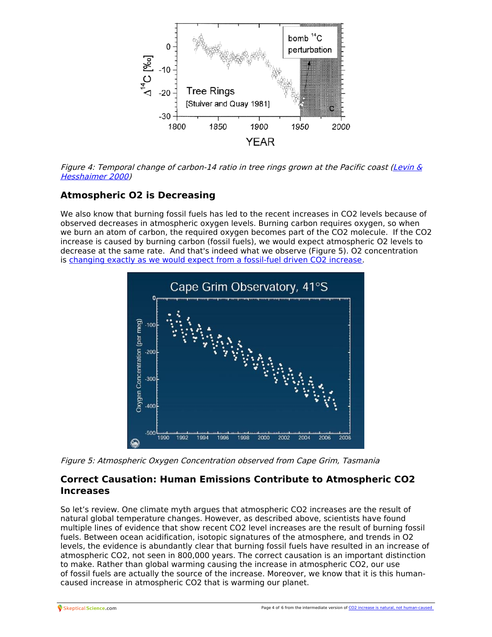

Figure 4: [Temporal](http://archiv.ub.uni-heidelberg.de/volltextserver/volltexte/2006/6862/pdf/LevinRAD2000.pdf) change of carbon-14 ratio in tree rings grown at the Pacific coast (Levin  $\&$ Hesshaimer 2000)

# **Atmospheric O2 is Decreasing**

We also know that burning fossil fuels has led to the recent increases in CO2 levels because of observed decreases in atmospheric oxygen levels. Burning carbon requires oxygen, so when we burn an atom of carbon, the required oxygen becomes part of the CO2 molecule. If the CO2 increase is caused by burning carbon (fossil fuels), we would expect atmospheric O2 levels to decrease at the same rate. And that's indeed what we observe (Figure 5). O2 concentration is changing exactly as we would expect from a [fossil-fuel](https://www.ipcc.ch/site/assets/uploads/2018/02/WG1AR5_Chapter06_FINAL.pdf) driven CO2 increase.



Figure 5: Atmospheric Oxygen Concentration observed from Cape Grim, Tasmania

# **Correct Causation: Human Emissions Contribute to Atmospheric CO2 Increases**

So let's review. One climate myth argues that atmospheric CO2 increases are the result of natural global temperature changes. However, as described above, scientists have found multiple lines of evidence that show recent CO2 level increases are the result of burning fossil fuels. Between ocean acidification, isotopic signatures of the atmosphere, and trends in O2 levels, the evidence is abundantly clear that burning fossil fuels have resulted in an increase of atmospheric CO2, not seen in 800,000 years. The correct causation is an important distinction to make. Rather than global warming causing the increase in atmospheric CO2, our use of fossil fuels are actually the source of the increase. Moreover, we know that it is this human[caused](http://skepticalscience.com) increase in atmospheric CO2 that is warming our planet.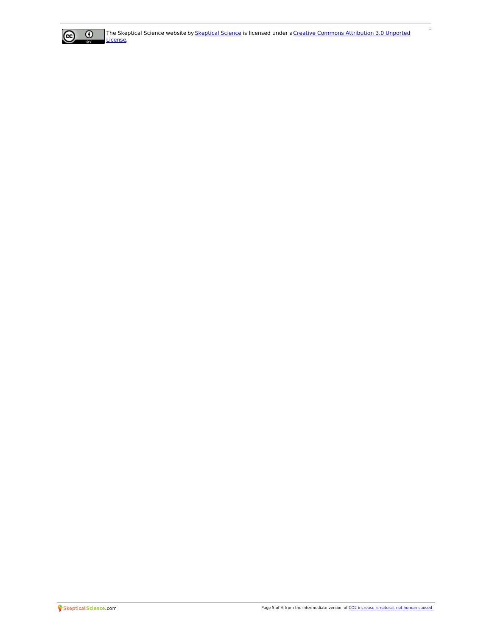

 $\Box$